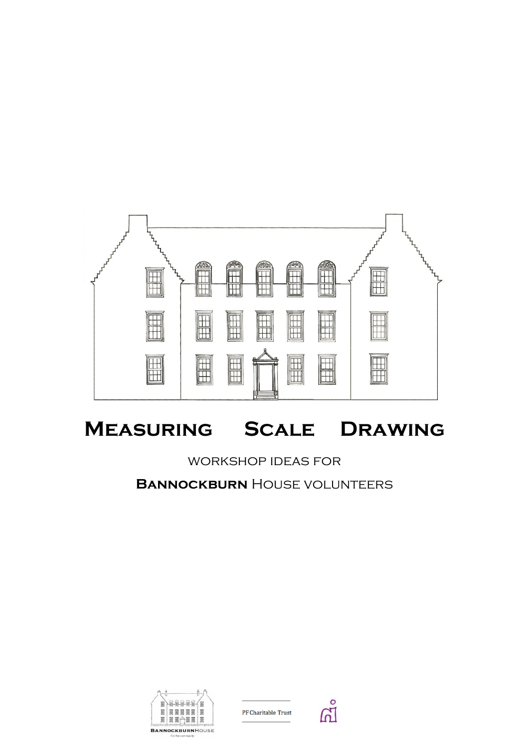

# **Measuring Scale Drawing**

# workshop ideas for

**BANNOCKBURN** HOUSE VOLUNTEERS



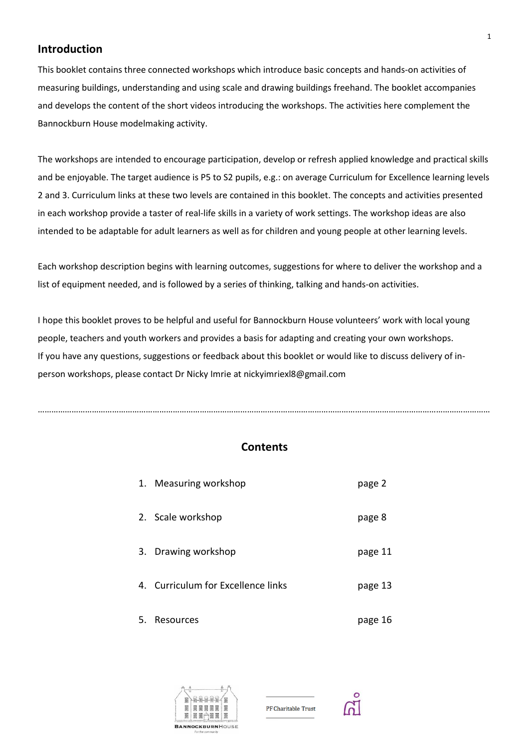# **Introduction**

This booklet contains three connected workshops which introduce basic concepts and hands-on activities of measuring buildings, understanding and using scale and drawing buildings freehand. The booklet accompanies and develops the content of the short videos introducing the workshops. The activities here complement the Bannockburn House modelmaking activity.

The workshops are intended to encourage participation, develop or refresh applied knowledge and practical skills and be enjoyable. The target audience is P5 to S2 pupils, e.g.: on average Curriculum for Excellence learning levels 2 and 3. Curriculum links at these two levels are contained in this booklet. The concepts and activities presented in each workshop provide a taster of real-life skills in a variety of work settings. The workshop ideas are also intended to be adaptable for adult learners as well as for children and young people at other learning levels.

Each workshop description begins with learning outcomes, suggestions for where to deliver the workshop and a list of equipment needed, and is followed by a series of thinking, talking and hands-on activities.

I hope this booklet proves to be helpful and useful for Bannockburn House volunteers' work with local young people, teachers and youth workers and provides a basis for adapting and creating your own workshops. If you have any questions, suggestions or feedback about this booklet or would like to discuss delivery of inperson workshops, please contact Dr Nicky Imrie at nickyimriexl8@gmail.com

# **Contents**

…………………………………………………………………………………………………………………………………………………………………………………

|    | 1. Measuring workshop              | page 2  |
|----|------------------------------------|---------|
|    | 2. Scale workshop                  | page 8  |
|    | 3. Drawing workshop                | page 11 |
|    | 4. Curriculum for Excellence links | page 13 |
| 5. | Resources                          | page 16 |



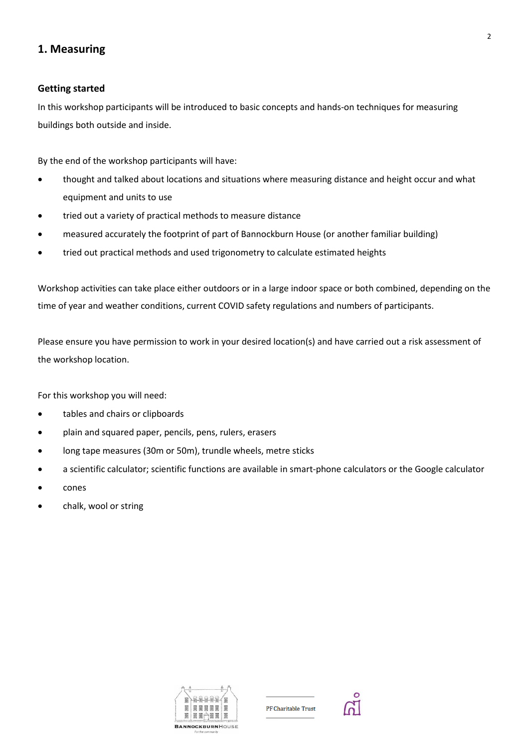# **1. Measuring**

### **Getting started**

In this workshop participants will be introduced to basic concepts and hands-on techniques for measuring buildings both outside and inside.

By the end of the workshop participants will have:

- thought and talked about locations and situations where measuring distance and height occur and what equipment and units to use
- tried out a variety of practical methods to measure distance
- measured accurately the footprint of part of Bannockburn House (or another familiar building)
- tried out practical methods and used trigonometry to calculate estimated heights

Workshop activities can take place either outdoors or in a large indoor space or both combined, depending on the time of year and weather conditions, current COVID safety regulations and numbers of participants.

Please ensure you have permission to work in your desired location(s) and have carried out a risk assessment of the workshop location.

For this workshop you will need:

- tables and chairs or clipboards
- plain and squared paper, pencils, pens, rulers, erasers
- long tape measures (30m or 50m), trundle wheels, metre sticks
- a scientific calculator; scientific functions are available in smart-phone calculators or the Google calculator
- cones
- chalk, wool or string



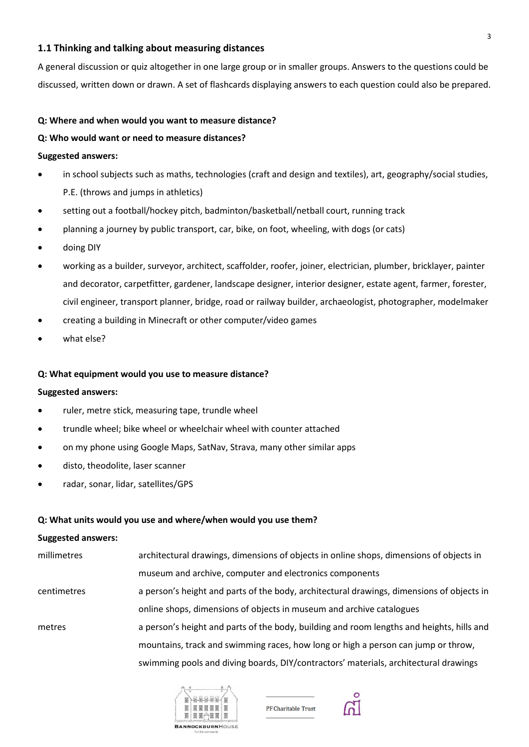### **1.1 Thinking and talking about measuring distances**

A general discussion or quiz altogether in one large group or in smaller groups. Answers to the questions could be discussed, written down or drawn. A set of flashcards displaying answers to each question could also be prepared.

### **Q: Where and when would you want to measure distance?**

### **Q: Who would want or need to measure distances?**

### **Suggested answers:**

- in school subjects such as maths, technologies (craft and design and textiles), art, geography/social studies, P.E. (throws and jumps in athletics)
- setting out a football/hockey pitch, badminton/basketball/netball court, running track
- planning a journey by public transport, car, bike, on foot, wheeling, with dogs (or cats)
- doing DIY
- working as a builder, surveyor, architect, scaffolder, roofer, joiner, electrician, plumber, bricklayer, painter and decorator, carpetfitter, gardener, landscape designer, interior designer, estate agent, farmer, forester, civil engineer, transport planner, bridge, road or railway builder, archaeologist, photographer, modelmaker
- creating a building in Minecraft or other computer/video games
- what else?

### **Q: What equipment would you use to measure distance?**

### **Suggested answers:**

- ruler, metre stick, measuring tape, trundle wheel
- trundle wheel; bike wheel or wheelchair wheel with counter attached
- on my phone using Google Maps, SatNav, Strava, many other similar apps
- disto, theodolite, laser scanner
- radar, sonar, lidar, satellites/GPS

### **Q: What units would you use and where/when would you use them?**

#### **Suggested answers:**

| millimetres        | architectural drawings, dimensions of objects in online shops, dimensions of objects in   |
|--------------------|-------------------------------------------------------------------------------------------|
|                    | museum and archive, computer and electronics components                                   |
| <b>centimetres</b> | a person's height and parts of the body, architectural drawings, dimensions of objects in |
|                    | online shops, dimensions of objects in museum and archive catalogues                      |
| metres             | a person's height and parts of the body, building and room lengths and heights, hills and |
|                    | mountains, track and swimming races, how long or high a person can jump or throw,         |
|                    | swimming pools and diving boards, DIY/contractors' materials, architectural drawings      |





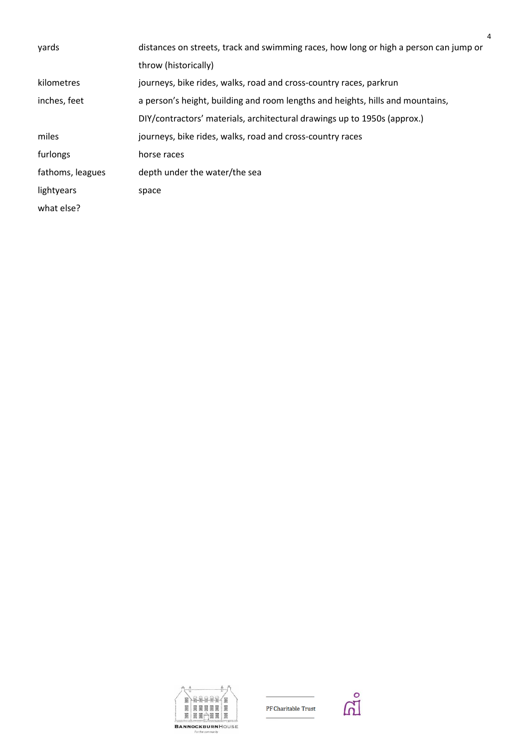| yards            | distances on streets, track and swimming races, how long or high a person can jump or |
|------------------|---------------------------------------------------------------------------------------|
|                  | throw (historically)                                                                  |
| kilometres       | journeys, bike rides, walks, road and cross-country races, parkrun                    |
| inches, feet     | a person's height, building and room lengths and heights, hills and mountains,        |
|                  | DIY/contractors' materials, architectural drawings up to 1950s (approx.)              |
| miles            | journeys, bike rides, walks, road and cross-country races                             |
| furlongs         | horse races                                                                           |
| fathoms, leagues | depth under the water/the sea                                                         |
| lightyears       | space                                                                                 |
| what else?       |                                                                                       |
|                  |                                                                                       |



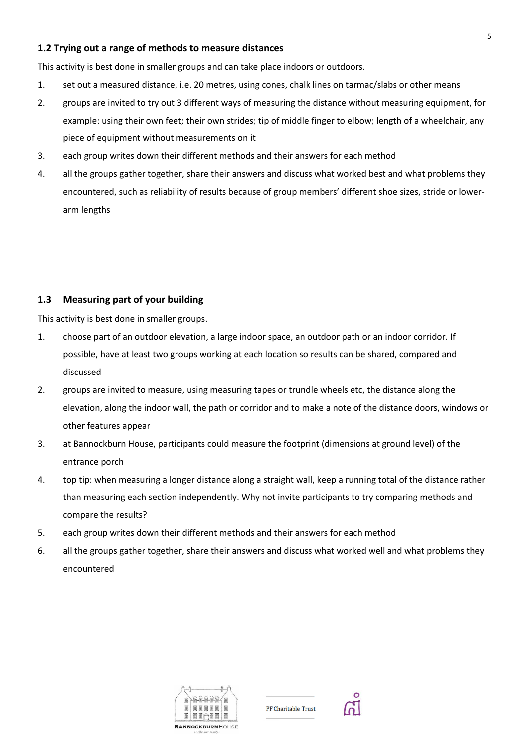## **1.2 Trying out a range of methods to measure distances**

This activity is best done in smaller groups and can take place indoors or outdoors.

- 1. set out a measured distance, i.e. 20 metres, using cones, chalk lines on tarmac/slabs or other means
- 2. groups are invited to try out 3 different ways of measuring the distance without measuring equipment, for example: using their own feet; their own strides; tip of middle finger to elbow; length of a wheelchair, any piece of equipment without measurements on it
- 3. each group writes down their different methods and their answers for each method
- 4. all the groups gather together, share their answers and discuss what worked best and what problems they encountered, such as reliability of results because of group members' different shoe sizes, stride or lowerarm lengths

# **1.3 Measuring part of your building**

This activity is best done in smaller groups.

- 1. choose part of an outdoor elevation, a large indoor space, an outdoor path or an indoor corridor. If possible, have at least two groups working at each location so results can be shared, compared and discussed
- 2. groups are invited to measure, using measuring tapes or trundle wheels etc, the distance along the elevation, along the indoor wall, the path or corridor and to make a note of the distance doors, windows or other features appear
- 3. at Bannockburn House, participants could measure the footprint (dimensions at ground level) of the entrance porch
- 4. top tip: when measuring a longer distance along a straight wall, keep a running total of the distance rather than measuring each section independently. Why not invite participants to try comparing methods and compare the results?
- 5. each group writes down their different methods and their answers for each method
- 6. all the groups gather together, share their answers and discuss what worked well and what problems they encountered



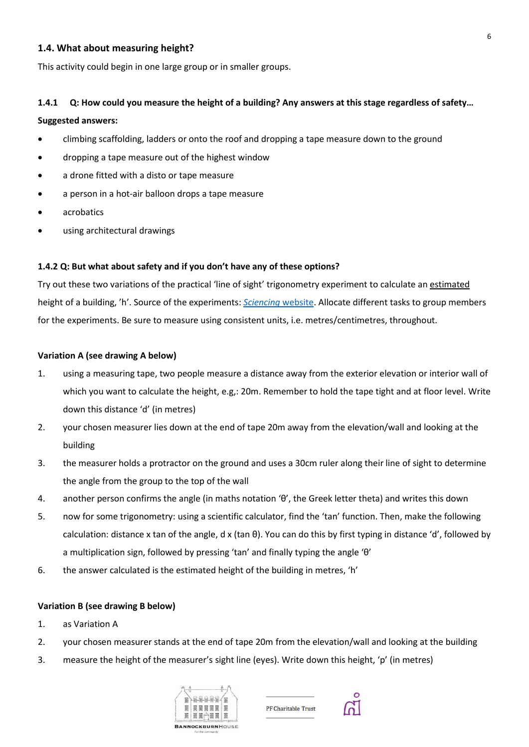### **1.4. What about measuring height?**

This activity could begin in one large group or in smaller groups.

# **1.4.1 Q: How could you measure the height of a building? Any answers at this stage regardless of safety… Suggested answers:**

- climbing scaffolding, ladders or onto the roof and dropping a tape measure down to the ground
- dropping a tape measure out of the highest window
- a drone fitted with a disto or tape measure
- a person in a hot-air balloon drops a tape measure
- acrobatics
- using architectural drawings

### **1.4.2 Q: But what about safety and if you don't have any of these options?**

Try out these two variations of the practical 'line of sight' trigonometry experiment to calculate an estimated height of a building, 'h'. Source of the experiments: *[Sciencing](https://sciencing.com/calculate-building-height-5968932.html)* website. Allocate different tasks to group members for the experiments. Be sure to measure using consistent units, i.e. metres/centimetres, throughout.

### **Variation A (see drawing A below)**

- 1. using a measuring tape, two people measure a distance away from the exterior elevation or interior wall of which you want to calculate the height, e.g,: 20m. Remember to hold the tape tight and at floor level. Write down this distance 'd' (in metres)
- 2. your chosen measurer lies down at the end of tape 20m away from the elevation/wall and looking at the building
- 3. the measurer holds a protractor on the ground and uses a 30cm ruler along their line of sight to determine the angle from the group to the top of the wall
- 4. another person confirms the angle (in maths notation 'θ', the Greek letter theta) and writes this down
- 5. now for some trigonometry: using a scientific calculator, find the 'tan' function. Then, make the following calculation: distance x tan of the angle, d x (tan θ). You can do this by first typing in distance 'd', followed by a multiplication sign, followed by pressing 'tan' and finally typing the angle 'θ'
- 6. the answer calculated is the estimated height of the building in metres, 'h'

### **Variation B (see drawing B below)**

- 1. as Variation A
- 2. your chosen measurer stands at the end of tape 20m from the elevation/wall and looking at the building
- 3. measure the height of the measurer's sight line (eyes). Write down this height, 'p' (in metres)



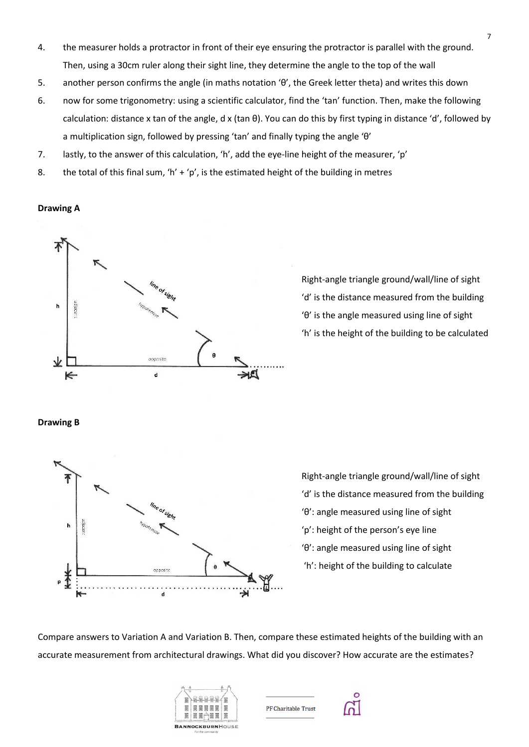- 4. the measurer holds a protractor in front of their eye ensuring the protractor is parallel with the ground. Then, using a 30cm ruler along their sight line, they determine the angle to the top of the wall
- 5. another person confirms the angle (in maths notation 'θ', the Greek letter theta) and writes this down
- 6. now for some trigonometry: using a scientific calculator, find the 'tan' function. Then, make the following calculation: distance x tan of the angle, d x (tan θ). You can do this by first typing in distance 'd', followed by a multiplication sign, followed by pressing 'tan' and finally typing the angle 'θ'
- 7. lastly, to the answer of this calculation, 'h', add the eye-line height of the measurer, 'p'
- 8. the total of this final sum, 'h' + 'p', is the estimated height of the building in metres

### **Drawing A**



Right-angle triangle ground/wall/line of sight 'd' is the distance measured from the building 'θ' is the angle measured using line of sight 'h' is the height of the building to be calculated

### **Drawing B**



Right-angle triangle ground/wall/line of sight 'd' is the distance measured from the building 'θ': angle measured using line of sight 'p': height of the person's eye line 'θ': angle measured using line of sight 'h': height of the building to calculate

Compare answers to Variation A and Variation B. Then, compare these estimated heights of the building with an accurate measurement from architectural drawings. What did you discover? How accurate are the estimates?



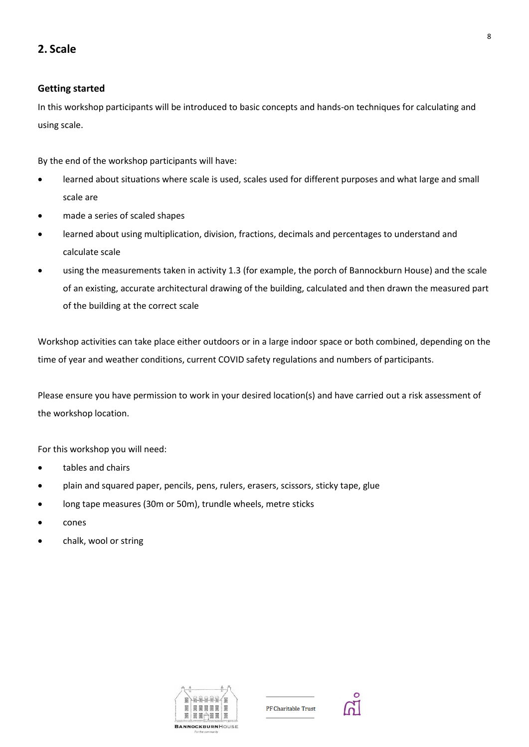# **2. Scale**

# **Getting started**

In this workshop participants will be introduced to basic concepts and hands-on techniques for calculating and using scale.

By the end of the workshop participants will have:

- learned about situations where scale is used, scales used for different purposes and what large and small scale are
- made a series of scaled shapes
- learned about using multiplication, division, fractions, decimals and percentages to understand and calculate scale
- using the measurements taken in activity 1.3 (for example, the porch of Bannockburn House) and the scale of an existing, accurate architectural drawing of the building, calculated and then drawn the measured part of the building at the correct scale

Workshop activities can take place either outdoors or in a large indoor space or both combined, depending on the time of year and weather conditions, current COVID safety regulations and numbers of participants.

Please ensure you have permission to work in your desired location(s) and have carried out a risk assessment of the workshop location.

For this workshop you will need:

- tables and chairs
- plain and squared paper, pencils, pens, rulers, erasers, scissors, sticky tape, glue
- long tape measures (30m or 50m), trundle wheels, metre sticks
- cones
- chalk, wool or string



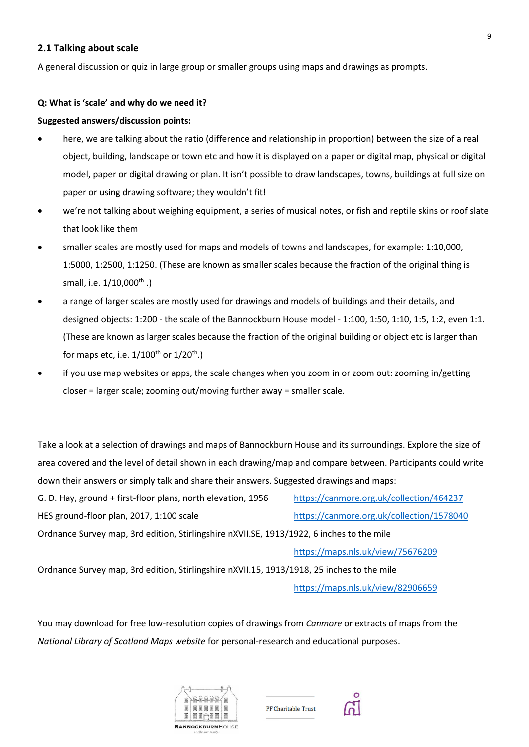### **2.1 Talking about scale**

A general discussion or quiz in large group or smaller groups using maps and drawings as prompts.

### **Q: What is 'scale' and why do we need it?**

### **Suggested answers/discussion points:**

- here, we are talking about the ratio (difference and relationship in proportion) between the size of a real object, building, landscape or town etc and how it is displayed on a paper or digital map, physical or digital model, paper or digital drawing or plan. It isn't possible to draw landscapes, towns, buildings at full size on paper or using drawing software; they wouldn't fit!
- we're not talking about weighing equipment, a series of musical notes, or fish and reptile skins or roof slate that look like them
- smaller scales are mostly used for maps and models of towns and landscapes, for example: 1:10,000, 1:5000, 1:2500, 1:1250. (These are known as smaller scales because the fraction of the original thing is small, i.e. 1/10,000<sup>th</sup>.)
- a range of larger scales are mostly used for drawings and models of buildings and their details, and designed objects: 1:200 - the scale of the Bannockburn House model - 1:100, 1:50, 1:10, 1:5, 1:2, even 1:1. (These are known as larger scales because the fraction of the original building or object etc is larger than for maps etc, i.e.  $1/100^{\text{th}}$  or  $1/20^{\text{th}}$ .)
- if you use map websites or apps, the scale changes when you zoom in or zoom out: zooming in/getting closer = larger scale; zooming out/moving further away = smaller scale.

Take a look at a selection of drawings and maps of Bannockburn House and its surroundings. Explore the size of area covered and the level of detail shown in each drawing/map and compare between. Participants could write down their answers or simply talk and share their answers. Suggested drawings and maps:

G. D. Hay, ground + first-floor plans, north elevation, 1956 <https://canmore.org.uk/collection/464237> HES ground-floor plan, 2017, 1:100 scale <https://canmore.org.uk/collection/1578040> Ordnance Survey map, 3rd edition, Stirlingshire nXVII.SE, 1913/1922, 6 inches to the mile <https://maps.nls.uk/view/75676209>

Ordnance Survey map, 3rd edition, Stirlingshire nXVII.15, 1913/1918, 25 inches to the mile <https://maps.nls.uk/view/82906659>

You may download for free low-resolution copies of drawings from *Canmore* or extracts of maps from the *National Library of Scotland Maps website* for personal-research and educational purposes.





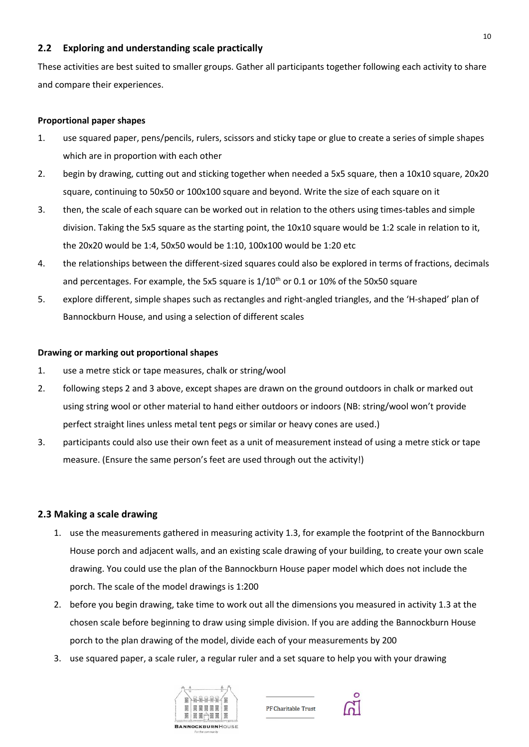# **2.2 Exploring and understanding scale practically**

These activities are best suited to smaller groups. Gather all participants together following each activity to share and compare their experiences.

### **Proportional paper shapes**

- 1. use squared paper, pens/pencils, rulers, scissors and sticky tape or glue to create a series of simple shapes which are in proportion with each other
- 2. begin by drawing, cutting out and sticking together when needed a 5x5 square, then a 10x10 square, 20x20 square, continuing to 50x50 or 100x100 square and beyond. Write the size of each square on it
- 3. then, the scale of each square can be worked out in relation to the others using times-tables and simple division. Taking the 5x5 square as the starting point, the 10x10 square would be 1:2 scale in relation to it, the 20x20 would be 1:4, 50x50 would be 1:10, 100x100 would be 1:20 etc
- 4. the relationships between the different-sized squares could also be explored in terms of fractions, decimals and percentages. For example, the 5x5 square is  $1/10<sup>th</sup>$  or 0.1 or 10% of the 50x50 square
- 5. explore different, simple shapes such as rectangles and right-angled triangles, and the 'H-shaped' plan of Bannockburn House, and using a selection of different scales

### **Drawing or marking out proportional shapes**

- 1. use a metre stick or tape measures, chalk or string/wool
- 2. following steps 2 and 3 above, except shapes are drawn on the ground outdoors in chalk or marked out using string wool or other material to hand either outdoors or indoors (NB: string/wool won't provide perfect straight lines unless metal tent pegs or similar or heavy cones are used.)
- 3. participants could also use their own feet as a unit of measurement instead of using a metre stick or tape measure. (Ensure the same person's feet are used through out the activity!)

### **2.3 Making a scale drawing**

- 1. use the measurements gathered in measuring activity 1.3, for example the footprint of the Bannockburn House porch and adjacent walls, and an existing scale drawing of your building, to create your own scale drawing. You could use the plan of the Bannockburn House paper model which does not include the porch. The scale of the model drawings is 1:200
- 2. before you begin drawing, take time to work out all the dimensions you measured in activity 1.3 at the chosen scale before beginning to draw using simple division. If you are adding the Bannockburn House porch to the plan drawing of the model, divide each of your measurements by 200
- 3. use squared paper, a scale ruler, a regular ruler and a set square to help you with your drawing





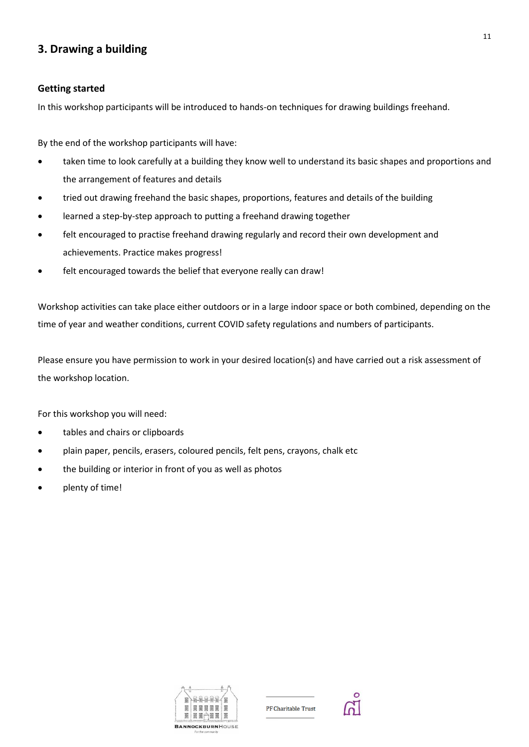# **3. Drawing a building**

### **Getting started**

In this workshop participants will be introduced to hands-on techniques for drawing buildings freehand.

By the end of the workshop participants will have:

- taken time to look carefully at a building they know well to understand its basic shapes and proportions and the arrangement of features and details
- tried out drawing freehand the basic shapes, proportions, features and details of the building
- learned a step-by-step approach to putting a freehand drawing together
- felt encouraged to practise freehand drawing regularly and record their own development and achievements. Practice makes progress!
- felt encouraged towards the belief that everyone really can draw!

Workshop activities can take place either outdoors or in a large indoor space or both combined, depending on the time of year and weather conditions, current COVID safety regulations and numbers of participants.

Please ensure you have permission to work in your desired location(s) and have carried out a risk assessment of the workshop location.

For this workshop you will need:

- tables and chairs or clipboards
- plain paper, pencils, erasers, coloured pencils, felt pens, crayons, chalk etc
- the building or interior in front of you as well as photos
- plenty of time!



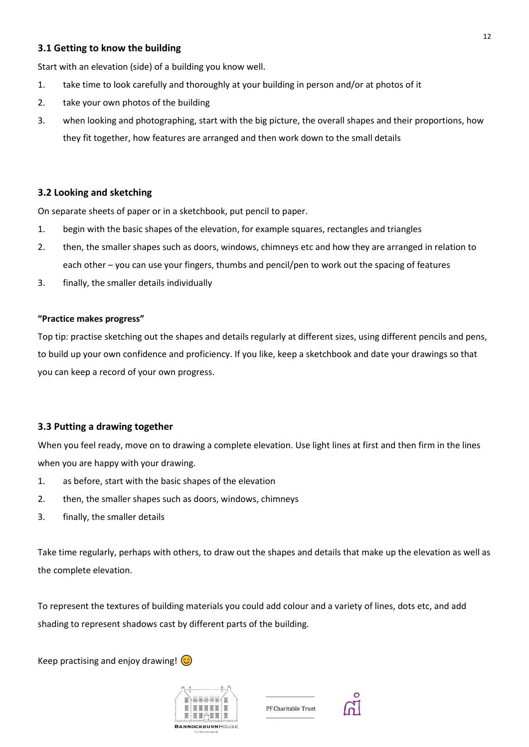# **3.1 Getting to know the building**

Start with an elevation (side) of a building you know well.

- 1. take time to look carefully and thoroughly at your building in person and/or at photos of it
- 2. take your own photos of the building
- 3. when looking and photographing, start with the big picture, the overall shapes and their proportions, how they fit together, how features are arranged and then work down to the small details

# **3.2 Looking and sketching**

On separate sheets of paper or in a sketchbook, put pencil to paper.

- 1. begin with the basic shapes of the elevation, for example squares, rectangles and triangles
- 2. then, the smaller shapes such as doors, windows, chimneys etc and how they are arranged in relation to each other – you can use your fingers, thumbs and pencil/pen to work out the spacing of features
- 3. finally, the smaller details individually

### **"Practice makes progress"**

Top tip: practise sketching out the shapes and details regularly at different sizes, using different pencils and pens, to build up your own confidence and proficiency. If you like, keep a sketchbook and date your drawings so that you can keep a record of your own progress.

### **3.3 Putting a drawing together**

When you feel ready, move on to drawing a complete elevation. Use light lines at first and then firm in the lines when you are happy with your drawing.

- 1. as before, start with the basic shapes of the elevation
- 2. then, the smaller shapes such as doors, windows, chimneys
- 3. finally, the smaller details

Take time regularly, perhaps with others, to draw out the shapes and details that make up the elevation as well as the complete elevation.

To represent the textures of building materials you could add colour and a variety of lines, dots etc, and add shading to represent shadows cast by different parts of the building.

Keep practising and enjoy drawing!  $\circled{c}$ 



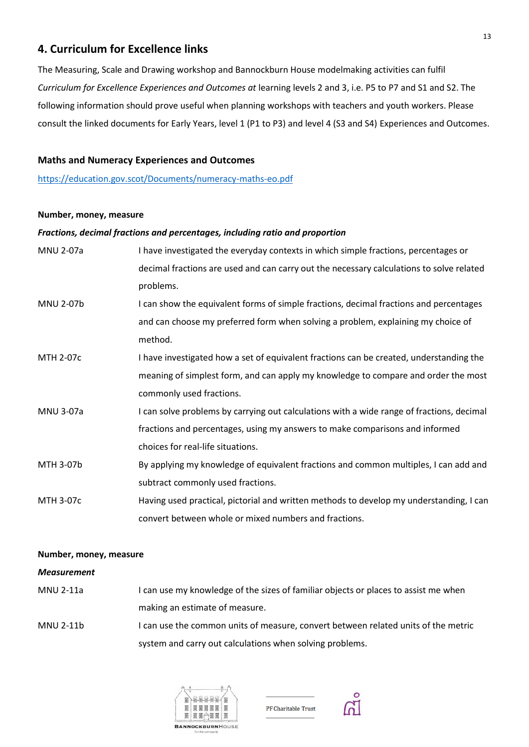# **4. Curriculum for Excellence links**

The Measuring, Scale and Drawing workshop and Bannockburn House modelmaking activities can fulfil *Curriculum for Excellence Experiences and Outcomes at* learning levels 2 and 3, i.e. P5 to P7 and S1 and S2. The following information should prove useful when planning workshops with teachers and youth workers. Please consult the linked documents for Early Years, level 1 (P1 to P3) and level 4 (S3 and S4) Experiences and Outcomes.

### **Maths and Numeracy Experiences and Outcomes**

<https://education.gov.scot/Documents/numeracy-maths-eo.pdf>

### **Number, money, measure**

### *Fractions, decimal fractions and percentages, including ratio and proportion*

| <b>MNU 2-07a</b> | I have investigated the everyday contexts in which simple fractions, percentages or       |
|------------------|-------------------------------------------------------------------------------------------|
|                  | decimal fractions are used and can carry out the necessary calculations to solve related  |
|                  | problems.                                                                                 |
| <b>MNU 2-07b</b> | I can show the equivalent forms of simple fractions, decimal fractions and percentages    |
|                  | and can choose my preferred form when solving a problem, explaining my choice of          |
|                  | method.                                                                                   |
| <b>MTH 2-07c</b> | I have investigated how a set of equivalent fractions can be created, understanding the   |
|                  | meaning of simplest form, and can apply my knowledge to compare and order the most        |
|                  | commonly used fractions.                                                                  |
| <b>MNU 3-07a</b> | I can solve problems by carrying out calculations with a wide range of fractions, decimal |
|                  | fractions and percentages, using my answers to make comparisons and informed              |
|                  | choices for real-life situations.                                                         |
| MTH 3-07b        | By applying my knowledge of equivalent fractions and common multiples, I can add and      |
|                  | subtract commonly used fractions.                                                         |
| MTH 3-07c        | Having used practical, pictorial and written methods to develop my understanding, I can   |
|                  | convert between whole or mixed numbers and fractions.                                     |

#### **Number, money, measure**

### *Measurement*

MNU 2-11a I can use my knowledge of the sizes of familiar objects or places to assist me when making an estimate of measure. MNU 2-11b I can use the common units of measure, convert between related units of the metric

system and carry out calculations when solving problems.





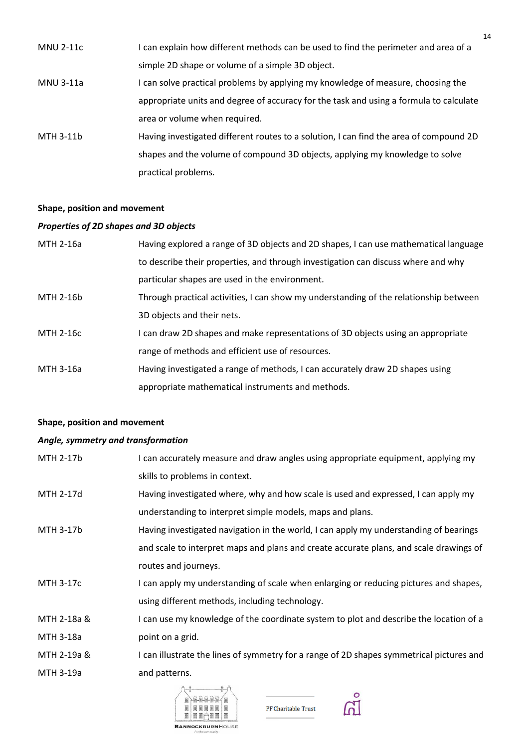| <b>MNU 2-11c</b> | I can explain how different methods can be used to find the perimeter and area of a    |
|------------------|----------------------------------------------------------------------------------------|
|                  | simple 2D shape or volume of a simple 3D object.                                       |
| MNU 3-11a        | I can solve practical problems by applying my knowledge of measure, choosing the       |
|                  | appropriate units and degree of accuracy for the task and using a formula to calculate |
|                  | area or volume when required.                                                          |
| MTH 3-11b        | Having investigated different routes to a solution, I can find the area of compound 2D |
|                  | shapes and the volume of compound 3D objects, applying my knowledge to solve           |
|                  | practical problems.                                                                    |

# **Shape, position and movement**

# *Properties of 2D shapes and 3D objects*

| MTH 2-16a | Having explored a range of 3D objects and 2D shapes, I can use mathematical language  |
|-----------|---------------------------------------------------------------------------------------|
|           | to describe their properties, and through investigation can discuss where and why     |
|           | particular shapes are used in the environment.                                        |
| MTH 2-16b | Through practical activities, I can show my understanding of the relationship between |
|           | 3D objects and their nets.                                                            |
| MTH 2-16c | I can draw 2D shapes and make representations of 3D objects using an appropriate      |
|           | range of methods and efficient use of resources.                                      |
| MTH 3-16a | Having investigated a range of methods, I can accurately draw 2D shapes using         |
|           | appropriate mathematical instruments and methods.                                     |

# **Shape, position and movement**

### *Angle, symmetry and transformation*

| MTH 2-17b   | I can accurately measure and draw angles using appropriate equipment, applying my        |
|-------------|------------------------------------------------------------------------------------------|
|             | skills to problems in context.                                                           |
| MTH 2-17d   | Having investigated where, why and how scale is used and expressed, I can apply my       |
|             | understanding to interpret simple models, maps and plans.                                |
| MTH 3-17b   | Having investigated navigation in the world, I can apply my understanding of bearings    |
|             | and scale to interpret maps and plans and create accurate plans, and scale drawings of   |
|             | routes and journeys.                                                                     |
| MTH 3-17c   | I can apply my understanding of scale when enlarging or reducing pictures and shapes,    |
|             | using different methods, including technology.                                           |
| MTH 2-18a & | I can use my knowledge of the coordinate system to plot and describe the location of a   |
| MTH 3-18a   | point on a grid.                                                                         |
| MTH 2-19a & | I can illustrate the lines of symmetry for a range of 2D shapes symmetrical pictures and |
| MTH 3-19a   | and patterns.                                                                            |
|             |                                                                                          |



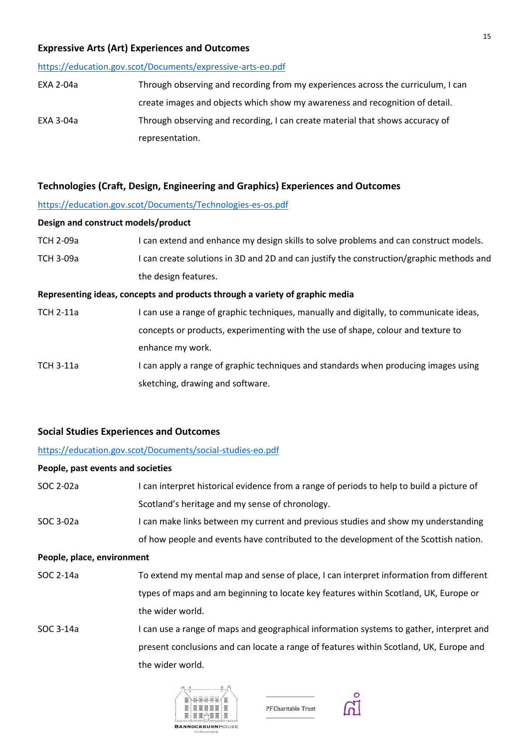### **Expressive Arts (Art) Experiences and Outcomes**

#### <https://education.gov.scot/Documents/expressive-arts-eo.pdf>

| EXA 2-04a | Through observing and recording from my experiences across the curriculum, I can |
|-----------|----------------------------------------------------------------------------------|
|           | create images and objects which show my awareness and recognition of detail.     |
| EXA 3-04a | Through observing and recording, I can create material that shows accuracy of    |
|           | representation.                                                                  |

### **Technologies (Craft, Design, Engineering and Graphics) Experiences and Outcomes**

### <https://education.gov.scot/Documents/Technologies-es-os.pdf>

#### **Design and construct models/product**

| TCH 2-09a | I can extend and enhance my design skills to solve problems and can construct models.    |
|-----------|------------------------------------------------------------------------------------------|
| ТСН 3-09а | I can create solutions in 3D and 2D and can justify the construction/graphic methods and |
|           | the design features.                                                                     |

### **Representing ideas, concepts and products through a variety of graphic media**

| TCH 2-11a | I can use a range of graphic techniques, manually and digitally, to communicate ideas, |
|-----------|----------------------------------------------------------------------------------------|
|           | concepts or products, experimenting with the use of shape, colour and texture to       |
|           | enhance my work.                                                                       |
| TCD2112   | can apply a range of graphic techniques and standards when producing images using      |

TCH 3-11a I can apply a range of graphic techniques and standards when producing images using sketching, drawing and software.

### **Social Studies Experiences and Outcomes**

### <https://education.gov.scot/Documents/social-studies-eo.pdf>

### **People, past events and societies**

| SOC 2-02a | I can interpret historical evidence from a range of periods to help to build a picture of |
|-----------|-------------------------------------------------------------------------------------------|
|           | Scotland's heritage and my sense of chronology.                                           |

SOC 3-02a I can make links between my current and previous studies and show my understanding of how people and events have contributed to the development of the Scottish nation.

#### **People, place, environment**

- SOC 2-14a To extend my mental map and sense of place, I can interpret information from different types of maps and am beginning to locate key features within Scotland, UK, Europe or the wider world.
- SOC 3-14a I can use a range of maps and geographical information systems to gather, interpret and present conclusions and can locate a range of features within Scotland, UK, Europe and the wider world.